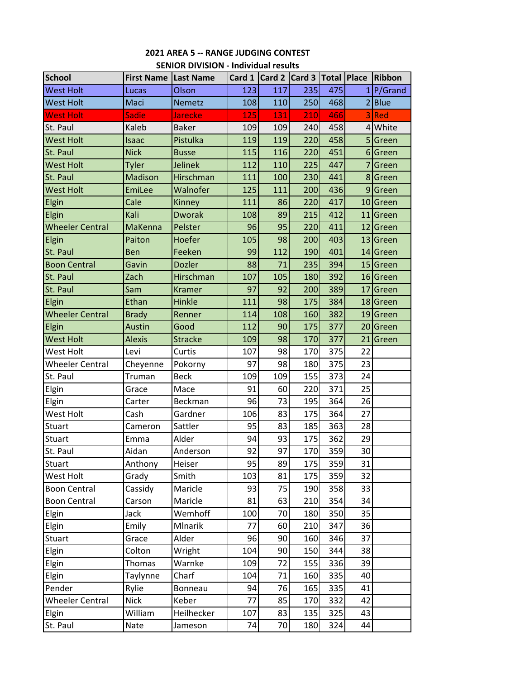| <b>School</b>          | First Name   Last Name |                |     | Card 1 Card 2 Card 3 Total Place Ribbon |     |     |                 |            |
|------------------------|------------------------|----------------|-----|-----------------------------------------|-----|-----|-----------------|------------|
| <b>West Holt</b>       | Lucas                  | Olson          | 123 | 117                                     | 235 | 475 |                 | P/Grand    |
| <b>West Holt</b>       | Maci                   | <b>Nemetz</b>  | 108 | 110                                     | 250 | 468 |                 | 2 Blue     |
| <b>West Holt</b>       | <b>Sadie</b>           | <b>Jarecke</b> | 125 | 131                                     | 210 | 466 | 3               | <b>Red</b> |
| St. Paul               | Kaleb                  | <b>Baker</b>   | 109 | 109                                     | 240 | 458 |                 | 4 White    |
| <b>West Holt</b>       | Isaac                  | Pistulka       | 119 | 119                                     | 220 | 458 |                 | 5 Green    |
| St. Paul               | <b>Nick</b>            | <b>Busse</b>   | 115 | 116                                     | 220 | 451 |                 | 6 Green    |
| <b>West Holt</b>       | <b>Tyler</b>           | Jelinek        | 112 | 110                                     | 225 | 447 |                 | Green      |
| St. Paul               | <b>Madison</b>         | Hirschman      | 111 | 100                                     | 230 | 441 |                 | 8 Green    |
| <b>West Holt</b>       | EmiLee                 | Walnofer       | 125 | 111                                     | 200 | 436 |                 | 9 Green    |
| Elgin                  | Cale                   | Kinney         | 111 | 86                                      | 220 | 417 |                 | 10 Green   |
| Elgin                  | Kali                   | <b>Dworak</b>  | 108 | 89                                      | 215 | 412 |                 | 11 Green   |
| <b>Wheeler Central</b> | MaKenna                | Pelster        | 96  | 95                                      | 220 | 411 |                 | 12 Green   |
| <b>Elgin</b>           | Paiton                 | Hoefer         | 105 | 98                                      | 200 | 403 |                 | 13 Green   |
| St. Paul               | Ben                    | Feeken         | 99  | 112                                     | 190 | 401 |                 | 14 Green   |
| <b>Boon Central</b>    | Gavin                  | <b>Dozler</b>  | 88  | 71                                      | 235 | 394 |                 | 15 Green   |
| St. Paul               | Zach                   | Hirschman      | 107 | 105                                     | 180 | 392 |                 | 16 Green   |
| St. Paul               | Sam                    | <b>Kramer</b>  | 97  | 92                                      | 200 | 389 |                 | 17 Green   |
| Elgin                  | Ethan                  | Hinkle         | 111 | 98                                      | 175 | 384 |                 | 18 Green   |
| <b>Wheeler Central</b> | <b>Brady</b>           | Renner         | 114 | 108                                     | 160 | 382 |                 | 19 Green   |
| Elgin                  | <b>Austin</b>          | Good           | 112 | 90                                      | 175 | 377 |                 | 20 Green   |
| <b>West Holt</b>       | <b>Alexis</b>          | <b>Stracke</b> | 109 | 98                                      | 170 | 377 |                 | 21 Green   |
| West Holt              | Levi                   | Curtis         | 107 | 98                                      | 170 | 375 | 22              |            |
| <b>Wheeler Central</b> | Cheyenne               | Pokorny        | 97  | 98                                      | 180 | 375 | 23              |            |
| St. Paul               | Truman                 | <b>Beck</b>    | 109 | 109                                     | 155 | 373 | 24              |            |
| Elgin                  | Grace                  | Mace           | 91  | 60                                      | 220 | 371 | 25              |            |
| Elgin                  | Carter                 | Beckman        | 96  | 73                                      | 195 | 364 | 26              |            |
| West Holt              | Cash                   | Gardner        | 106 | 83                                      | 175 | 364 | 27              |            |
| Stuart                 | Cameron                | Sattler        | 95  | 83                                      | 185 | 363 | 28              |            |
| Stuart                 | Emma                   | Alder          | 94  | 93                                      | 175 | 362 | 29              |            |
| St. Paul               | Aidan                  | Anderson       | 92  | 97                                      | 170 | 359 | 30 <sup>1</sup> |            |
| Stuart                 | Anthony                | Heiser         | 95  | 89                                      | 175 | 359 | 31              |            |
| West Holt              | Grady                  | Smith          | 103 | 81                                      | 175 | 359 | 32              |            |
| <b>Boon Central</b>    | Cassidy                | Maricle        | 93  | 75                                      | 190 | 358 | 33              |            |
| <b>Boon Central</b>    | Carson                 | Maricle        | 81  | 63                                      | 210 | 354 | 34              |            |
| Elgin                  | Jack                   | Wemhoff        | 100 | 70                                      | 180 | 350 | 35              |            |
| Elgin                  | Emily                  | Mlnarik        | 77  | 60                                      | 210 | 347 | 36              |            |
| Stuart                 | Grace                  | Alder          | 96  | 90                                      | 160 | 346 | 37              |            |
| Elgin                  | Colton                 | Wright         | 104 | 90                                      | 150 | 344 | 38              |            |
| Elgin                  | Thomas                 | Warnke         | 109 | 72                                      | 155 | 336 | 39              |            |
| Elgin                  | Taylynne               | Charf          | 104 | 71                                      | 160 | 335 | 40              |            |
| Pender                 | Rylie                  | Bonneau        | 94  | 76                                      | 165 | 335 | 41              |            |
| <b>Wheeler Central</b> | <b>Nick</b>            | Keber          | 77  | 85                                      | 170 | 332 | 42              |            |
| Elgin                  | William                | Heilhecker     | 107 | 83                                      | 135 | 325 | 43              |            |
| St. Paul               | Nate                   | Jameson        | 74  | 70                                      | 180 | 324 | 44              |            |

# **2021 AREA 5 ‐‐ RANGE JUDGING CONTEST SENIOR DIVISION ‐ Individual results**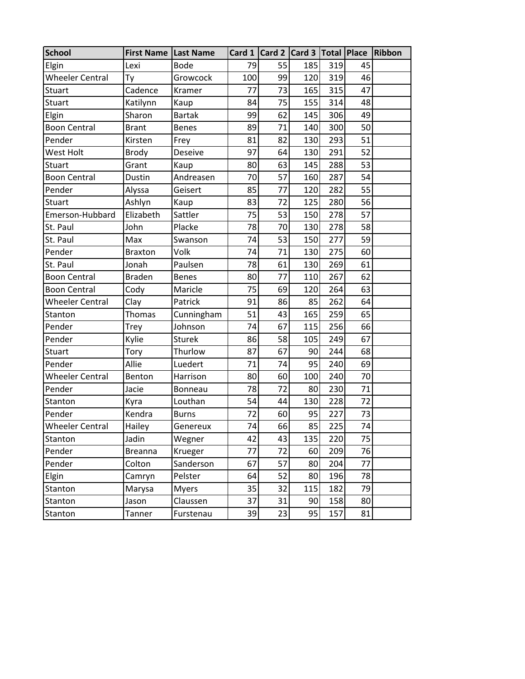| <b>School</b>          | First Name   Last Name |               |     |    | Card 1 Card 2 Card 3 Total Place Ribbon |     |                 |  |
|------------------------|------------------------|---------------|-----|----|-----------------------------------------|-----|-----------------|--|
| Elgin                  | Lexi                   | <b>Bode</b>   | 79  | 55 | 185                                     | 319 | 45              |  |
| Wheeler Central        | Ty                     | Growcock      | 100 | 99 | 120                                     | 319 | 46              |  |
| <b>Stuart</b>          | Cadence                | Kramer        | 77  | 73 | 165                                     | 315 | 47              |  |
| <b>Stuart</b>          | Katilynn               | Kaup          | 84  | 75 | 155                                     | 314 | 48              |  |
| Elgin                  | Sharon                 | <b>Bartak</b> | 99  | 62 | 145                                     | 306 | 49              |  |
| <b>Boon Central</b>    | <b>Brant</b>           | Benes         | 89  | 71 | 140                                     | 300 | 50              |  |
| Pender                 | Kirsten                | Frey          | 81  | 82 | 130                                     | 293 | 51              |  |
| West Holt              | <b>Brody</b>           | Deseive       | 97  | 64 | 130                                     | 291 | 52              |  |
| <b>Stuart</b>          | Grant                  | Kaup          | 80  | 63 | 145                                     | 288 | 53              |  |
| <b>Boon Central</b>    | Dustin                 | Andreasen     | 70  | 57 | 160                                     | 287 | 54              |  |
| Pender                 | Alyssa                 | Geisert       | 85  | 77 | 120                                     | 282 | 55              |  |
| <b>Stuart</b>          | Ashlyn                 | Kaup          | 83  | 72 | 125                                     | 280 | 56              |  |
| Emerson-Hubbard        | Elizabeth              | Sattler       | 75  | 53 | 150                                     | 278 | 57              |  |
| St. Paul               | John                   | Placke        | 78  | 70 | 130                                     | 278 | 58              |  |
| St. Paul               | Max                    | Swanson       | 74  | 53 | 150                                     | 277 | 59              |  |
| Pender                 | <b>Braxton</b>         | Volk          | 74  | 71 | 130                                     | 275 | 60              |  |
| St. Paul               | Jonah                  | Paulsen       | 78  | 61 | 130                                     | 269 | 61              |  |
| <b>Boon Central</b>    | <b>Braden</b>          | <b>Benes</b>  | 80  | 77 | 110                                     | 267 | 62              |  |
| <b>Boon Central</b>    | Cody                   | Maricle       | 75  | 69 | 120                                     | 264 | 63              |  |
| <b>Wheeler Central</b> | Clay                   | Patrick       | 91  | 86 | 85                                      | 262 | 64              |  |
| Stanton                | <b>Thomas</b>          | Cunningham    | 51  | 43 | 165                                     | 259 | 65              |  |
| Pender                 | Trey                   | Johnson       | 74  | 67 | 115                                     | 256 | 66              |  |
| Pender                 | Kylie                  | <b>Sturek</b> | 86  | 58 | 105                                     | 249 | 67              |  |
| <b>Stuart</b>          | Tory                   | Thurlow       | 87  | 67 | 90                                      | 244 | 68              |  |
| Pender                 | Allie                  | Luedert       | 71  | 74 | 95                                      | 240 | 69              |  |
| <b>Wheeler Central</b> | Benton                 | Harrison      | 80  | 60 | 100                                     | 240 | 70              |  |
| Pender                 | Jacie                  | Bonneau       | 78  | 72 | 80                                      | 230 | 71              |  |
| Stanton                | Kyra                   | Louthan       | 54  | 44 | 130                                     | 228 | 72              |  |
| Pender                 | Kendra                 | <b>Burns</b>  | 72  | 60 | 95                                      | 227 | 73              |  |
| <b>Wheeler Central</b> | Hailey                 | Genereux      | 74  | 66 | 85                                      | 225 | $\overline{74}$ |  |
| Stanton                | Jadin                  | Wegner        | 42  | 43 | 135                                     | 220 | 75              |  |
| Pender                 | <b>Breanna</b>         | Krueger       | 77  | 72 | 60                                      | 209 | 76              |  |
| Pender                 | Colton                 | Sanderson     | 67  | 57 | 80                                      | 204 | 77              |  |
| Elgin                  | Camryn                 | Pelster       | 64  | 52 | 80                                      | 196 | 78              |  |
| <b>Stanton</b>         | Marysa                 | <b>Myers</b>  | 35  | 32 | 115                                     | 182 | 79              |  |
| Stanton                | Jason                  | Claussen      | 37  | 31 | 90                                      | 158 | 80              |  |
| Stanton                | Tanner                 | Furstenau     | 39  | 23 | 95                                      | 157 | 81              |  |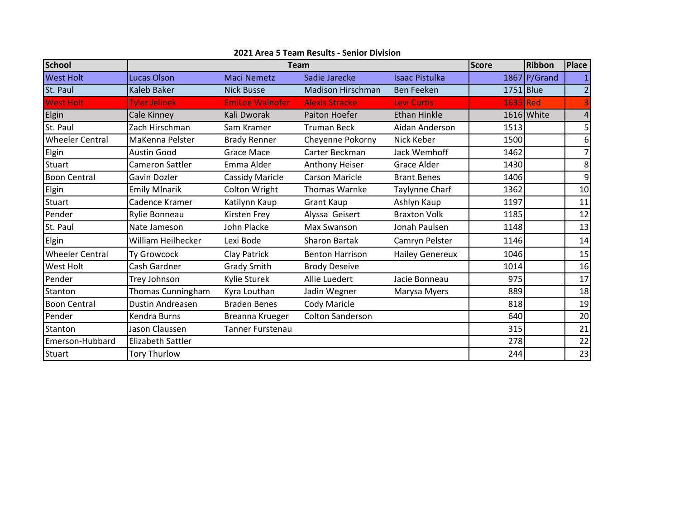| <b>School</b>          |                      | <b>Team</b>             |                          | <b>Score</b>           | <b>Ribbon</b> | <b>Place</b>   |                         |
|------------------------|----------------------|-------------------------|--------------------------|------------------------|---------------|----------------|-------------------------|
| <b>West Holt</b>       | <b>Lucas Olson</b>   | <b>Maci Nemetz</b>      | Sadie Jarecke            | <b>Isaac Pistulka</b>  |               | $1867$ P/Grand | 1                       |
| St. Paul               | <b>Kaleb Baker</b>   | <b>Nick Busse</b>       | <b>Madison Hirschman</b> | <b>Ben Feeken</b>      | $1751$ Blue   |                | $\overline{2}$          |
| <b>West Holt</b>       | <b>Tyler Jelinek</b> | <b>EmiLee Walnofer</b>  | <b>Alexis Stracke</b>    | <b>Levi Curtis</b>     | 1635 Red      |                |                         |
| Elgin                  | Cale Kinney          | Kali Dworak             | <b>Paiton Hoefer</b>     | <b>Ethan Hinkle</b>    |               | 1616 White     | $\overline{\mathbf{4}}$ |
| St. Paul               | Zach Hirschman       | Sam Kramer              | <b>Truman Beck</b>       | Aidan Anderson         | 1513          |                | 5                       |
| <b>Wheeler Central</b> | MaKenna Pelster      | <b>Brady Renner</b>     | Cheyenne Pokorny         | Nick Keber             | 1500          |                | 6                       |
| Elgin                  | <b>Austin Good</b>   | <b>Grace Mace</b>       | Carter Beckman           | Jack Wemhoff           | 1462          |                | 7                       |
| <b>Stuart</b>          | Cameron Sattler      | Emma Alder              | Anthony Heiser           | Grace Alder            | 1430          |                | 8                       |
| <b>Boon Central</b>    | Gavin Dozler         | <b>Cassidy Maricle</b>  | <b>Carson Maricle</b>    | <b>Brant Benes</b>     | 1406          |                | 9                       |
| Elgin                  | <b>Emily Mlnarik</b> | Colton Wright           | <b>Thomas Warnke</b>     | Taylynne Charf         | 1362          |                | 10                      |
| <b>Stuart</b>          | Cadence Kramer       | Katilynn Kaup           | <b>Grant Kaup</b>        | Ashlyn Kaup            | 1197          |                | 11                      |
| Pender                 | Rylie Bonneau        | <b>Kirsten Frey</b>     | Alyssa Geisert           | <b>Braxton Volk</b>    | 1185          |                | 12                      |
| St. Paul               | Nate Jameson         | John Placke             | Max Swanson              | Jonah Paulsen          | 1148          |                | 13                      |
| Elgin                  | William Heilhecker   | Lexi Bode               | <b>Sharon Bartak</b>     | Camryn Pelster         | 1146          |                | 14                      |
| <b>Wheeler Central</b> | <b>Ty Growcock</b>   | Clay Patrick            | <b>Benton Harrison</b>   | <b>Hailey Genereux</b> | 1046          |                | 15                      |
| <b>West Holt</b>       | Cash Gardner         | <b>Grady Smith</b>      | <b>Brody Deseive</b>     |                        | 1014          |                | 16                      |
| Pender                 | Trey Johnson         | Kylie Sturek            | Allie Luedert            | Jacie Bonneau          | 975           |                | 17                      |
| Stanton                | Thomas Cunningham    | Kyra Louthan            | Jadin Wegner             | Marysa Myers           | 889           |                | 18                      |
| <b>Boon Central</b>    | Dustin Andreasen     | <b>Braden Benes</b>     | Cody Maricle             |                        | 818           |                | 19                      |
| Pender                 | Kendra Burns         | Breanna Krueger         | <b>Colton Sanderson</b>  |                        | 640           |                | 20                      |
| Stanton                | Jason Claussen       | <b>Tanner Furstenau</b> |                          |                        | 315           |                | 21                      |
| Emerson-Hubbard        | Elizabeth Sattler    |                         |                          |                        | 278           |                | 22                      |
| <b>Stuart</b>          | <b>Tory Thurlow</b>  |                         |                          |                        | 244           |                | 23                      |

**2021 Area 5 Team Results ‐ Senior Division**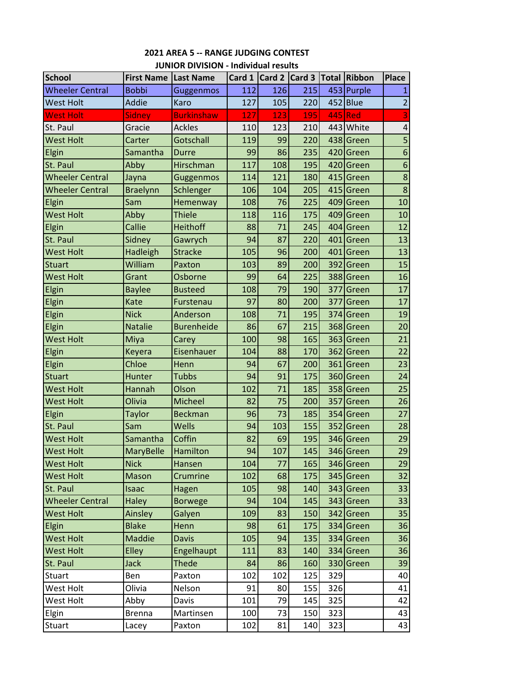| <b>School</b>          | First Name   Last Name |                   |     | Card 1 $\vert$ Card 2 $\vert$ Card 3 |     |     | Total Ribbon | <b>Place</b>            |
|------------------------|------------------------|-------------------|-----|--------------------------------------|-----|-----|--------------|-------------------------|
| <b>Wheeler Central</b> | <b>Bobbi</b>           | Guggenmos         | 112 | 126                                  | 215 |     | 453 Purple   | 1                       |
| <b>West Holt</b>       | <b>Addie</b>           | Karo              | 127 | 105                                  | 220 |     | $452$ Blue   | $\overline{\mathbf{c}}$ |
| <b>West Holt</b>       | <b>Sidney</b>          | <b>Burkinshaw</b> | 127 | 123                                  | 195 |     | 445 Red      | $\overline{\mathbf{3}}$ |
| St. Paul               | Gracie                 | <b>Ackles</b>     | 110 | 123                                  | 210 |     | 443 White    | $\overline{\mathbf{r}}$ |
| <b>West Holt</b>       | Carter                 | Gotschall         | 119 | 99                                   | 220 |     | 438 Green    | 5                       |
| Elgin                  | Samantha               | Durre             | 99  | 86                                   | 235 |     | 420 Green    | $\boldsymbol{6}$        |
| St. Paul               | Abby                   | Hirschman         | 117 | 108                                  | 195 |     | 420 Green    | $\boldsymbol{6}$        |
| <b>Wheeler Central</b> | Jayna                  | Guggenmos         | 114 | 121                                  | 180 |     | 415 Green    | $\bf 8$                 |
| <b>Wheeler Central</b> | <b>Braelynn</b>        | Schlenger         | 106 | 104                                  | 205 |     | 415 Green    | $\bf 8$                 |
| Elgin                  | Sam                    | Hemenway          | 108 | 76                                   | 225 |     | 409 Green    | 10                      |
| <b>West Holt</b>       | Abby                   | <b>Thiele</b>     | 118 | 116                                  | 175 |     | 409 Green    | 10                      |
| Elgin                  | Callie                 | Heithoff          | 88  | 71                                   | 245 |     | 404 Green    | 12                      |
| St. Paul               | Sidney                 | Gawrych           | 94  | 87                                   | 220 |     | 401 Green    | 13                      |
| <b>West Holt</b>       | Hadleigh               | <b>Stracke</b>    | 105 | 96                                   | 200 |     | 401 Green    | 13                      |
| <b>Stuart</b>          | William                | Paxton            | 103 | 89                                   | 200 |     | 392 Green    | 15                      |
| <b>West Holt</b>       | Grant                  | Osborne           | 99  | 64                                   | 225 |     | 388 Green    | 16                      |
| Elgin                  | <b>Baylee</b>          | <b>Busteed</b>    | 108 | 79                                   | 190 | 377 | Green        | 17                      |
| Elgin                  | Kate                   | Furstenau         | 97  | 80                                   | 200 | 377 | Green        | 17                      |
| Elgin                  | <b>Nick</b>            | Anderson          | 108 | 71                                   | 195 |     | 374 Green    | 19                      |
| Elgin                  | <b>Natalie</b>         | <b>Burenheide</b> | 86  | 67                                   | 215 |     | 368 Green    | 20                      |
| <b>West Holt</b>       | Miya                   | Carey             | 100 | 98                                   | 165 |     | 363 Green    | 21                      |
| Elgin                  | Keyera                 | Eisenhauer        | 104 | 88                                   | 170 |     | 362 Green    | 22                      |
| Elgin                  | Chloe                  | Henn              | 94  | 67                                   | 200 |     | 361 Green    | 23                      |
| <b>Stuart</b>          | Hunter                 | <b>Tubbs</b>      | 94  | 91                                   | 175 |     | 360 Green    | 24                      |
| <b>West Holt</b>       | Hannah                 | Olson             | 102 | 71                                   | 185 |     | 358 Green    | 25                      |
| <b>West Holt</b>       | Olivia                 | Micheel           | 82  | 75                                   | 200 |     | 357 Green    | 26                      |
| Elgin                  | <b>Taylor</b>          | <b>Beckman</b>    | 96  | 73                                   | 185 |     | 354 Green    | 27                      |
| St. Paul               | Sam                    | Wells             | 94  | 103                                  | 155 |     | 352 Green    | 28                      |
| <b>West Holt</b>       | Samantha               | Coffin            | 82  | 69                                   | 195 |     | 346 Green    | 29                      |
| <b>West Holt</b>       | MaryBelle              | Hamilton          | 94  | 107                                  | 145 |     | 346 Green    | 29                      |
| <b>West Holt</b>       | <b>Nick</b>            | Hansen            | 104 | 77                                   | 165 |     | 346 Green    | 29                      |
| <b>West Holt</b>       | Mason                  | Crumrine          | 102 | 68                                   | 175 |     | 345 Green    | 32                      |
| St. Paul               | Isaac                  | Hagen             | 105 | 98                                   | 140 |     | 343 Green    | 33                      |
| <b>Wheeler Central</b> | <b>Haley</b>           | <b>Borwege</b>    | 94  | 104                                  | 145 |     | 343 Green    | 33                      |
| <b>West Holt</b>       | Ainsley                | Galyen            | 109 | 83                                   | 150 |     | 342 Green    | 35                      |
| Elgin                  | <b>Blake</b>           | Henn              | 98  | 61                                   | 175 |     | 334 Green    | 36                      |
| <b>West Holt</b>       | <b>Maddie</b>          | <b>Davis</b>      | 105 | 94                                   | 135 |     | 334 Green    | 36                      |
| <b>West Holt</b>       | Elley                  | Engelhaupt        | 111 | 83                                   | 140 |     | 334 Green    | 36                      |
| St. Paul               | <b>Jack</b>            | <b>Thede</b>      | 84  | 86                                   | 160 |     | 330 Green    | 39                      |
| <b>Stuart</b>          | Ben                    | Paxton            | 102 | 102                                  | 125 | 329 |              | 40                      |
| West Holt              | Olivia                 | Nelson            | 91  | 80                                   | 155 | 326 |              | 41                      |
| West Holt              | Abby                   | Davis             | 101 | 79                                   | 145 | 325 |              | 42                      |
| Elgin                  | <b>Brenna</b>          | Martinsen         | 100 | 73                                   | 150 | 323 |              | 43                      |
| <b>Stuart</b>          | Lacey                  | Paxton            | 102 | 81                                   | 140 | 323 |              | 43                      |

## **2021 AREA 5 ‐‐ RANGE JUDGING CONTEST JUNIOR DIVISION ‐ Individual results**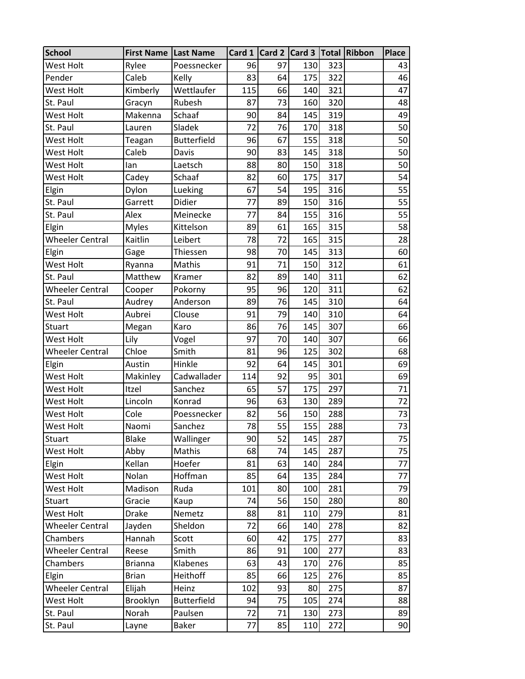| <b>School</b>          | <b>First Name   Last Name</b> |                    |     |    | Card 1   Card 2   Card 3   Total   Ribbon |     | <b>Place</b>    |
|------------------------|-------------------------------|--------------------|-----|----|-------------------------------------------|-----|-----------------|
| West Holt              | Rylee                         | Poessnecker        | 96  | 97 | 130                                       | 323 | 43              |
| Pender                 | Caleb                         | Kelly              | 83  | 64 | 175                                       | 322 | 46              |
| West Holt              | Kimberly                      | Wettlaufer         | 115 | 66 | 140                                       | 321 | 47              |
| St. Paul               | Gracyn                        | Rubesh             | 87  | 73 | 160                                       | 320 | 48              |
| West Holt              | Makenna                       | Schaaf             | 90  | 84 | 145                                       | 319 | 49              |
| St. Paul               | Lauren                        | Sladek             | 72  | 76 | 170                                       | 318 | 50              |
| West Holt              | Teagan                        | <b>Butterfield</b> | 96  | 67 | 155                                       | 318 | 50              |
| West Holt              | Caleb                         | Davis              | 90  | 83 | 145                                       | 318 | 50              |
| West Holt              | lan                           | Laetsch            | 88  | 80 | 150                                       | 318 | 50              |
| West Holt              | Cadey                         | Schaaf             | 82  | 60 | 175                                       | 317 | 54              |
| Elgin                  | Dylon                         | Lueking            | 67  | 54 | 195                                       | 316 | 55              |
| St. Paul               | Garrett                       | Didier             | 77  | 89 | 150                                       | 316 | 55              |
| St. Paul               | Alex                          | Meinecke           | 77  | 84 | 155                                       | 316 | $\overline{55}$ |
| Elgin                  | <b>Myles</b>                  | Kittelson          | 89  | 61 | 165                                       | 315 | 58              |
| <b>Wheeler Central</b> | Kaitlin                       | Leibert            | 78  | 72 | 165                                       | 315 | 28              |
| Elgin                  | Gage                          | Thiessen           | 98  | 70 | 145                                       | 313 | 60              |
| <b>West Holt</b>       | Ryanna                        | Mathis             | 91  | 71 | 150                                       | 312 | 61              |
| St. Paul               | Matthew                       | Kramer             | 82  | 89 | 140                                       | 311 | 62              |
| <b>Wheeler Central</b> | Cooper                        | Pokorny            | 95  | 96 | 120                                       | 311 | 62              |
| St. Paul               | Audrey                        | Anderson           | 89  | 76 | 145                                       | 310 | 64              |
| West Holt              | Aubrei                        | Clouse             | 91  | 79 | 140                                       | 310 | 64              |
| Stuart                 | Megan                         | Karo               | 86  | 76 | 145                                       | 307 | 66              |
| West Holt              | Lily                          | Vogel              | 97  | 70 | 140                                       | 307 | 66              |
| <b>Wheeler Central</b> | Chloe                         | Smith              | 81  | 96 | 125                                       | 302 | 68              |
| Elgin                  | Austin                        | Hinkle             | 92  | 64 | 145                                       | 301 | 69              |
| West Holt              | Makinley                      | Cadwallader        | 114 | 92 | 95                                        | 301 | 69              |
| West Holt              | Itzel                         | Sanchez            | 65  | 57 | 175                                       | 297 | 71              |
| West Holt              | Lincoln                       | Konrad             | 96  | 63 | 130                                       | 289 | 72              |
| West Holt              | Cole                          | Poessnecker        | 82  | 56 | 150                                       | 288 | 73              |
| <b>West Holt</b>       | Naomi                         | Sanchez            | 78  | 55 | 155                                       | 288 | $\overline{73}$ |
| Stuart                 | <b>Blake</b>                  | Wallinger          | 90  | 52 | 145                                       | 287 | 75              |
| West Holt              | Abby                          | Mathis             | 68  | 74 | 145                                       | 287 | 75              |
| Elgin                  | Kellan                        | Hoefer             | 81  | 63 | 140                                       | 284 | 77              |
| West Holt              | Nolan                         | Hoffman            | 85  | 64 | 135                                       | 284 | 77              |
| West Holt              | Madison                       | Ruda               | 101 | 80 | 100                                       | 281 | 79              |
| Stuart                 | Gracie                        | Kaup               | 74  | 56 | 150                                       | 280 | 80              |
| West Holt              | <b>Drake</b>                  | Nemetz             | 88  | 81 | 110                                       | 279 | 81              |
| <b>Wheeler Central</b> | Jayden                        | Sheldon            | 72  | 66 | 140                                       | 278 | 82              |
| Chambers               | Hannah                        | Scott              | 60  | 42 | 175                                       | 277 | 83              |
| <b>Wheeler Central</b> | Reese                         | Smith              | 86  | 91 | 100                                       | 277 | 83              |
| Chambers               | <b>Brianna</b>                | Klabenes           | 63  | 43 | 170                                       | 276 | 85              |
| Elgin                  | <b>Brian</b>                  | Heithoff           | 85  | 66 | 125                                       | 276 | 85              |
| <b>Wheeler Central</b> | Elijah                        | Heinz              | 102 | 93 | 80                                        | 275 | 87              |
| West Holt              | Brooklyn                      | <b>Butterfield</b> | 94  | 75 | 105                                       | 274 | 88              |
| St. Paul               | Norah                         | Paulsen            | 72  | 71 | 130                                       | 273 | 89              |
| St. Paul               | Layne                         | <b>Baker</b>       | 77  | 85 | 110                                       | 272 | 90              |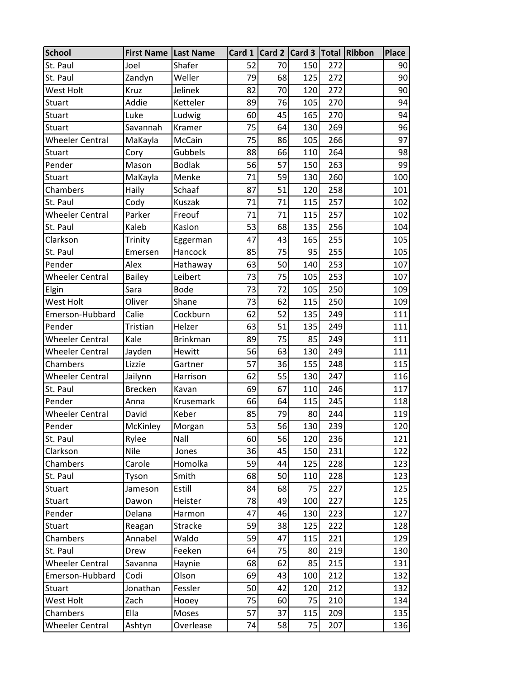| <b>School</b>          | <b>First Name   Last Name</b> |                 |    |    | Card 1 Card 2 Card 3 Total Ribbon |     | <b>Place</b> |
|------------------------|-------------------------------|-----------------|----|----|-----------------------------------|-----|--------------|
| St. Paul               | Joel                          | Shafer          | 52 | 70 | 150                               | 272 | 90           |
| St. Paul               | Zandyn                        | Weller          | 79 | 68 | 125                               | 272 | 90           |
| West Holt              | Kruz                          | Jelinek         | 82 | 70 | 120                               | 272 | 90           |
| Stuart                 | Addie                         | Ketteler        | 89 | 76 | 105                               | 270 | 94           |
| Stuart                 | Luke                          | Ludwig          | 60 | 45 | 165                               | 270 | 94           |
| <b>Stuart</b>          | Savannah                      | Kramer          | 75 | 64 | 130                               | 269 | 96           |
| <b>Wheeler Central</b> | MaKayla                       | McCain          | 75 | 86 | 105                               | 266 | 97           |
| Stuart                 | Cory                          | Gubbels         | 88 | 66 | 110                               | 264 | 98           |
| Pender                 | Mason                         | <b>Bodlak</b>   | 56 | 57 | 150                               | 263 | 99           |
| Stuart                 | MaKayla                       | Menke           | 71 | 59 | 130                               | 260 | 100          |
| Chambers               | Haily                         | Schaaf          | 87 | 51 | 120                               | 258 | 101          |
| St. Paul               | Cody                          | Kuszak          | 71 | 71 | 115                               | 257 | 102          |
| <b>Wheeler Central</b> | Parker                        | Freouf          | 71 | 71 | 115                               | 257 | 102          |
| St. Paul               | Kaleb                         | Kaslon          | 53 | 68 | 135                               | 256 | 104          |
| Clarkson               | Trinity                       | Eggerman        | 47 | 43 | 165                               | 255 | 105          |
| St. Paul               | Emersen                       | Hancock         | 85 | 75 | 95                                | 255 | 105          |
| Pender                 | Alex                          | Hathaway        | 63 | 50 | 140                               | 253 | 107          |
| <b>Wheeler Central</b> | <b>Bailey</b>                 | Leibert         | 73 | 75 | 105                               | 253 | 107          |
| Elgin                  | Sara                          | <b>Bode</b>     | 73 | 72 | 105                               | 250 | 109          |
| West Holt              | Oliver                        | Shane           | 73 | 62 | 115                               | 250 | 109          |
| Emerson-Hubbard        | Calie                         | Cockburn        | 62 | 52 | 135                               | 249 | 111          |
| Pender                 | Tristian                      | Helzer          | 63 | 51 | 135                               | 249 | 111          |
| <b>Wheeler Central</b> | Kale                          | <b>Brinkman</b> | 89 | 75 | 85                                | 249 | 111          |
| <b>Wheeler Central</b> | Jayden                        | Hewitt          | 56 | 63 | 130                               | 249 | 111          |
| Chambers               | Lizzie                        | Gartner         | 57 | 36 | 155                               | 248 | 115          |
| <b>Wheeler Central</b> | Jailynn                       | Harrison        | 62 | 55 | 130                               | 247 | 116          |
| St. Paul               | <b>Brecken</b>                | Kavan           | 69 | 67 | 110                               | 246 | 117          |
| Pender                 | Anna                          | Krusemark       | 66 | 64 | 115                               | 245 | 118          |
| <b>Wheeler Central</b> | David                         | Keber           | 85 | 79 | 80                                | 244 | 119          |
| Pender                 | McKinley                      | Morgan          | 53 | 56 | 130                               | 239 | 120          |
| St. Paul               | Rylee                         | Nall            | 60 | 56 | 120                               | 236 | 121          |
| Clarkson               | Nile                          | Jones           | 36 | 45 | 150                               | 231 | 122          |
| Chambers               | Carole                        | Homolka         | 59 | 44 | 125                               | 228 | 123          |
| St. Paul               | Tyson                         | Smith           | 68 | 50 | 110                               | 228 | 123          |
| Stuart                 | Jameson                       | Estill          | 84 | 68 | 75                                | 227 | 125          |
| Stuart                 | Dawon                         | Heister         | 78 | 49 | 100                               | 227 | 125          |
| Pender                 | Delana                        | Harmon          | 47 | 46 | 130                               | 223 | 127          |
| Stuart                 | Reagan                        | Stracke         | 59 | 38 | 125                               | 222 | 128          |
| Chambers               | Annabel                       | Waldo           | 59 | 47 | 115                               | 221 | 129          |
| St. Paul               | Drew                          | Feeken          | 64 | 75 | 80                                | 219 | 130          |
| <b>Wheeler Central</b> | Savanna                       | Haynie          | 68 | 62 | 85                                | 215 | 131          |
| Emerson-Hubbard        | Codi                          | Olson           | 69 | 43 | 100                               | 212 | 132          |
| Stuart                 | Jonathan                      | Fessler         | 50 | 42 | 120                               | 212 | 132          |
| West Holt              | Zach                          | Hooey           | 75 | 60 | 75                                | 210 | 134          |
| Chambers               | Ella                          | Moses           | 57 | 37 | 115                               | 209 | 135          |
| <b>Wheeler Central</b> | Ashtyn                        | Overlease       | 74 | 58 | 75                                | 207 | 136          |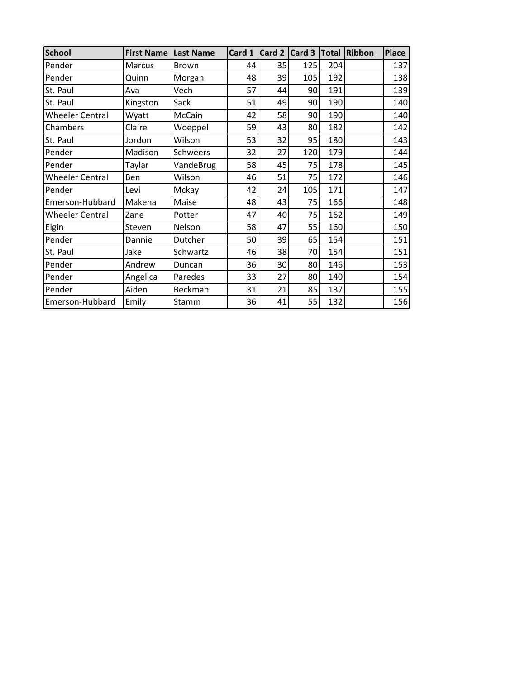| <b>School</b>          | <b>First Name</b> | <b>Last Name</b> | Card 1 | Card 2 | Card 3 | <b>Total</b> | <b>Ribbon</b> | Place |
|------------------------|-------------------|------------------|--------|--------|--------|--------------|---------------|-------|
| Pender                 | Marcus            | <b>Brown</b>     | 44     | 35     | 125    | 204          |               | 137   |
| Pender                 | Quinn             | Morgan           | 48     | 39     | 105    | 192          |               | 138   |
| St. Paul               | Ava               | Vech             | 57     | 44     | 90     | 191          |               | 139   |
| St. Paul               | Kingston          | Sack             | 51     | 49     | 90     | 190          |               | 140   |
| <b>Wheeler Central</b> | Wyatt             | McCain           | 42     | 58     | 90     | 190          |               | 140   |
| Chambers               | Claire            | Woeppel          | 59     | 43     | 80     | 182          |               | 142   |
| St. Paul               | Jordon            | Wilson           | 53     | 32     | 95     | 180          |               | 143   |
| Pender                 | Madison           | Schweers         | 32     | 27     | 120    | 179          |               | 144   |
| Pender                 | Taylar            | VandeBrug        | 58     | 45     | 75     | 178          |               | 145   |
| <b>Wheeler Central</b> | Ben               | Wilson           | 46     | 51     | 75     | 172          |               | 146   |
| Pender                 | Levi              | Mckay            | 42     | 24     | 105    | 171          |               | 147   |
| Emerson-Hubbard        | Makena            | Maise            | 48     | 43     | 75     | 166          |               | 148   |
| <b>Wheeler Central</b> | Zane              | Potter           | 47     | 40     | 75     | 162          |               | 149   |
| Elgin                  | Steven            | Nelson           | 58     | 47     | 55     | 160          |               | 150   |
| Pender                 | Dannie            | Dutcher          | 50     | 39     | 65     | 154          |               | 151   |
| St. Paul               | Jake              | Schwartz         | 46     | 38     | 70     | 154          |               | 151   |
| Pender                 | Andrew            | Duncan           | 36     | 30     | 80     | 146          |               | 153   |
| Pender                 | Angelica          | Paredes          | 33     | 27     | 80     | 140          |               | 154   |
| Pender                 | Aiden             | Beckman          | 31     | 21     | 85     | 137          |               | 155   |
| Emerson-Hubbard        | Emily             | Stamm            | 36     | 41     | 55     | 132          |               | 156   |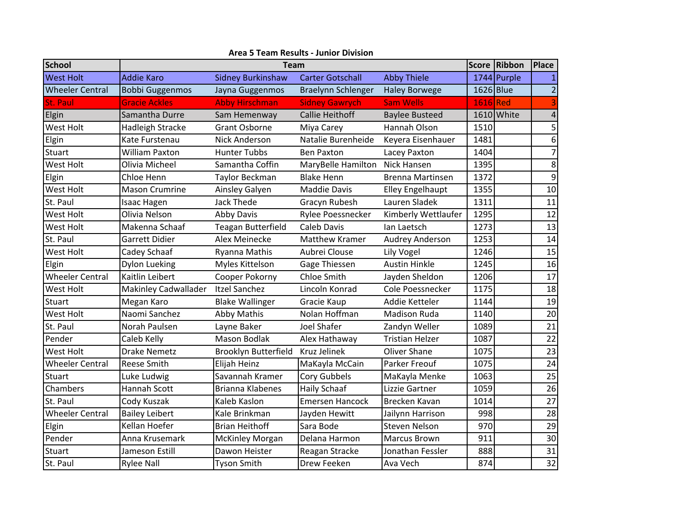| <b>School</b>          |                             | <b>Team</b>               |                           |                         |           |             |                 |  |  |  |
|------------------------|-----------------------------|---------------------------|---------------------------|-------------------------|-----------|-------------|-----------------|--|--|--|
| <b>West Holt</b>       | <b>Addie Karo</b>           | <b>Sidney Burkinshaw</b>  | <b>Carter Gotschall</b>   | <b>Abby Thiele</b>      |           | 1744 Purple |                 |  |  |  |
| <b>Wheeler Central</b> | <b>Bobbi Guggenmos</b>      | Jayna Guggenmos           | <b>Braelynn Schlenger</b> | <b>Haley Borwege</b>    | 1626 Blue |             | $\overline{2}$  |  |  |  |
| St. Paul               | <b>Gracie Ackles</b>        | <b>Abby Hirschman</b>     | <b>Sidney Gawrych</b>     | <b>Sam Wells</b>        | 1616 Red  |             | 3               |  |  |  |
| Elgin                  | Samantha Durre              | Sam Hemenway              | Callie Heithoff           | <b>Baylee Busteed</b>   |           | 1610 White  | 4               |  |  |  |
| West Holt              | <b>Hadleigh Stracke</b>     | <b>Grant Osborne</b>      | Miya Carey                | Hannah Olson            | 1510      |             | 5               |  |  |  |
| Elgin                  | Kate Furstenau              | <b>Nick Anderson</b>      | Natalie Burenheide        | Keyera Eisenhauer       | 1481      |             | 6               |  |  |  |
| Stuart                 | <b>William Paxton</b>       | <b>Hunter Tubbs</b>       | <b>Ben Paxton</b>         | Lacey Paxton            | 1404      |             | $\overline{7}$  |  |  |  |
| West Holt              | Olivia Micheel              | Samantha Coffin           | MaryBelle Hamilton        | Nick Hansen             | 1395      |             | 8               |  |  |  |
| Elgin                  | Chloe Henn                  | <b>Taylor Beckman</b>     | <b>Blake Henn</b>         | <b>Brenna Martinsen</b> | 1372      |             | 9               |  |  |  |
| <b>West Holt</b>       | <b>Mason Crumrine</b>       | Ainsley Galyen            | <b>Maddie Davis</b>       | <b>Elley Engelhaupt</b> | 1355      |             | 10              |  |  |  |
| St. Paul               | <b>Isaac Hagen</b>          | <b>Jack Thede</b>         | Gracyn Rubesh             | Lauren Sladek           | 1311      |             | 11              |  |  |  |
| <b>West Holt</b>       | Olivia Nelson               | <b>Abby Davis</b>         | Rylee Poessnecker         | Kimberly Wettlaufer     | 1295      |             | 12              |  |  |  |
| West Holt              | Makenna Schaaf              | <b>Teagan Butterfield</b> | <b>Caleb Davis</b>        | Ian Laetsch             | 1273      |             | 13              |  |  |  |
| St. Paul               | Garrett Didier              | Alex Meinecke             | Matthew Kramer            | <b>Audrey Anderson</b>  | 1253      |             | 14              |  |  |  |
| West Holt              | Cadey Schaaf                | Ryanna Mathis             | Aubrei Clouse             | Lily Vogel              | 1246      |             | 15              |  |  |  |
| Elgin                  | <b>Dylon Lueking</b>        | Myles Kittelson           | Gage Thiessen             | <b>Austin Hinkle</b>    | 1245      |             | 16              |  |  |  |
| <b>Wheeler Central</b> | Kaitlin Leibert             | Cooper Pokorny            | Chloe Smith               | Jayden Sheldon          | 1206      |             | 17              |  |  |  |
| West Holt              | <b>Makinley Cadwallader</b> | <b>Itzel Sanchez</b>      | Lincoln Konrad            | Cole Poessnecker        | 1175      |             | 18              |  |  |  |
| <b>Stuart</b>          | Megan Karo                  | <b>Blake Wallinger</b>    | Gracie Kaup               | Addie Ketteler          | 1144      |             | 19              |  |  |  |
| <b>West Holt</b>       | Naomi Sanchez               | <b>Abby Mathis</b>        | Nolan Hoffman             | <b>Madison Ruda</b>     | 1140      |             | 20              |  |  |  |
| St. Paul               | Norah Paulsen               | Layne Baker               | Joel Shafer               | Zandyn Weller           | 1089      |             | 21              |  |  |  |
| Pender                 | Caleb Kelly                 | <b>Mason Bodlak</b>       | Alex Hathaway             | <b>Tristian Helzer</b>  | 1087      |             | 22              |  |  |  |
| West Holt              | <b>Drake Nemetz</b>         | Brooklyn Butterfield      | Kruz Jelinek              | Oliver Shane            | 1075      |             | 23              |  |  |  |
| <b>Wheeler Central</b> | <b>Reese Smith</b>          | Elijah Heinz              | MaKayla McCain            | Parker Freouf           | 1075      |             | 24              |  |  |  |
| Stuart                 | Luke Ludwig                 | Savannah Kramer           | Cory Gubbels              | MaKayla Menke           | 1063      |             | 25              |  |  |  |
| Chambers               | Hannah Scott                | <b>Brianna Klabenes</b>   | <b>Haily Schaaf</b>       | Lizzie Gartner          | 1059      |             | 26              |  |  |  |
| St. Paul               | Cody Kuszak                 | Kaleb Kaslon              | <b>Emersen Hancock</b>    | Brecken Kavan           | 1014      |             | 27              |  |  |  |
| <b>Wheeler Central</b> | <b>Bailey Leibert</b>       | Kale Brinkman             | Jayden Hewitt             | Jailynn Harrison        | 998       |             | 28              |  |  |  |
| Elgin                  | Kellan Hoefer               | <b>Brian Heithoff</b>     | Sara Bode                 | <b>Steven Nelson</b>    | 970       |             | 29              |  |  |  |
| Pender                 | Anna Krusemark              | <b>McKinley Morgan</b>    | Delana Harmon             | <b>Marcus Brown</b>     | 911       |             | 30              |  |  |  |
| Stuart                 | Jameson Estill              | Dawon Heister             | Reagan Stracke            | Jonathan Fessler        | 888       |             | $\overline{31}$ |  |  |  |
| St. Paul               | <b>Rylee Nall</b>           | <b>Tyson Smith</b>        | Drew Feeken               | Ava Vech                | 874       |             | 32              |  |  |  |

#### **Area 5 Team Results ‐ Junior Division**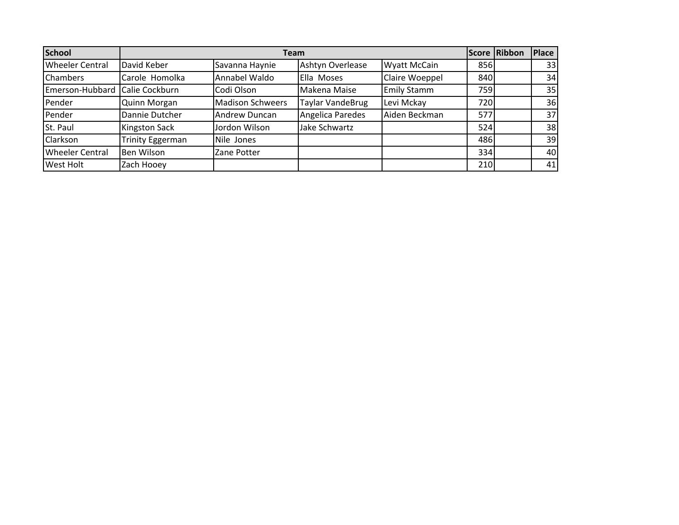| <b>School</b>          |                         |                         | <b>Team</b>             |                     |     | Score Ribbon | Place |
|------------------------|-------------------------|-------------------------|-------------------------|---------------------|-----|--------------|-------|
| <b>Wheeler Central</b> | David Keber             | Savanna Haynie          | Ashtyn Overlease        | <b>Wyatt McCain</b> | 856 |              | 33    |
| <b>Chambers</b>        | Carole Homolka          | Annabel Waldo           | Ella Moses              | Claire Woeppel      | 840 |              | 34    |
| Emerson-Hubbard        | Calie Cockburn          | Codi Olson              | Makena Maise            | <b>Emily Stamm</b>  | 759 |              | 35    |
| Pender                 | <b>Quinn Morgan</b>     | <b>Madison Schweers</b> | <b>Taylar VandeBrug</b> | Levi Mckay          | 720 |              | 36    |
| Pender                 | Dannie Dutcher          | Andrew Duncan           | Angelica Paredes        | Aiden Beckman       | 577 |              | 37    |
| St. Paul               | <b>Kingston Sack</b>    | Jordon Wilson           | Jake Schwartz           |                     | 524 |              | 38    |
| Clarkson               | <b>Trinity Eggerman</b> | Nile Jones              |                         |                     | 486 |              | 39    |
| <b>Wheeler Central</b> | Ben Wilson              | Zane Potter             |                         |                     | 334 |              | 40    |
| <b>West Holt</b>       | Zach Hooey              |                         |                         |                     | 210 |              | 41    |